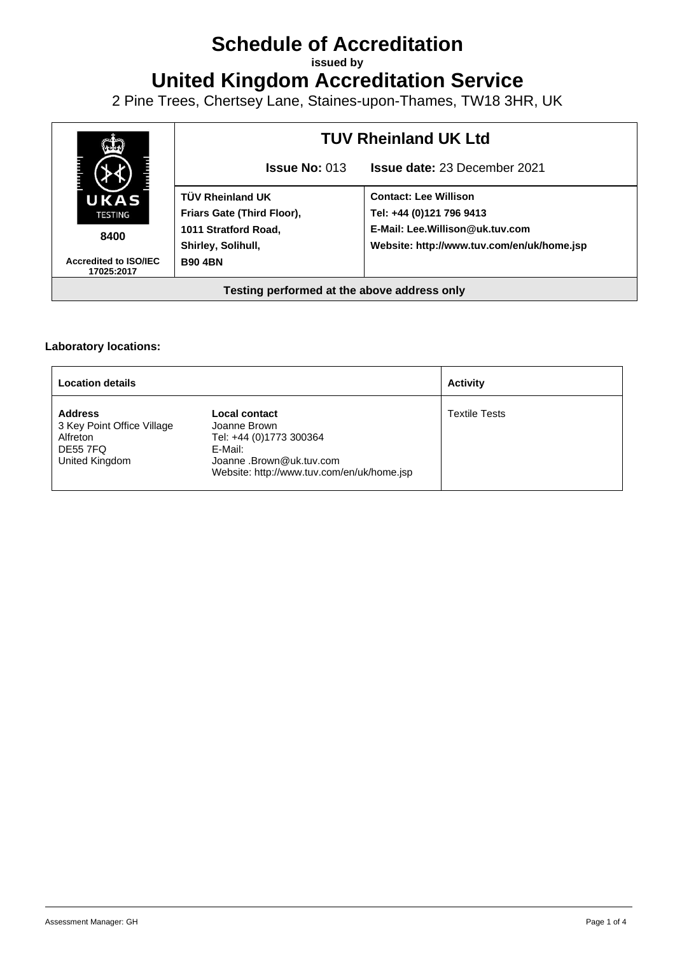# **Schedule of Accreditation**

**issued by**

**United Kingdom Accreditation Service**

2 Pine Trees, Chertsey Lane, Staines-upon-Thames, TW18 3HR, UK



### **Laboratory locations:**

| <b>Location details</b>                                                                       |                                                                                                                                               | <b>Activity</b>      |
|-----------------------------------------------------------------------------------------------|-----------------------------------------------------------------------------------------------------------------------------------------------|----------------------|
| <b>Address</b><br>3 Key Point Office Village<br>Alfreton<br><b>DE55 7FQ</b><br>United Kingdom | Local contact<br>Joanne Brown<br>Tel: +44 (0)1773 300364<br>E-Mail:<br>Joanne .Brown@uk.tuv.com<br>Website: http://www.tuv.com/en/uk/home.jsp | <b>Textile Tests</b> |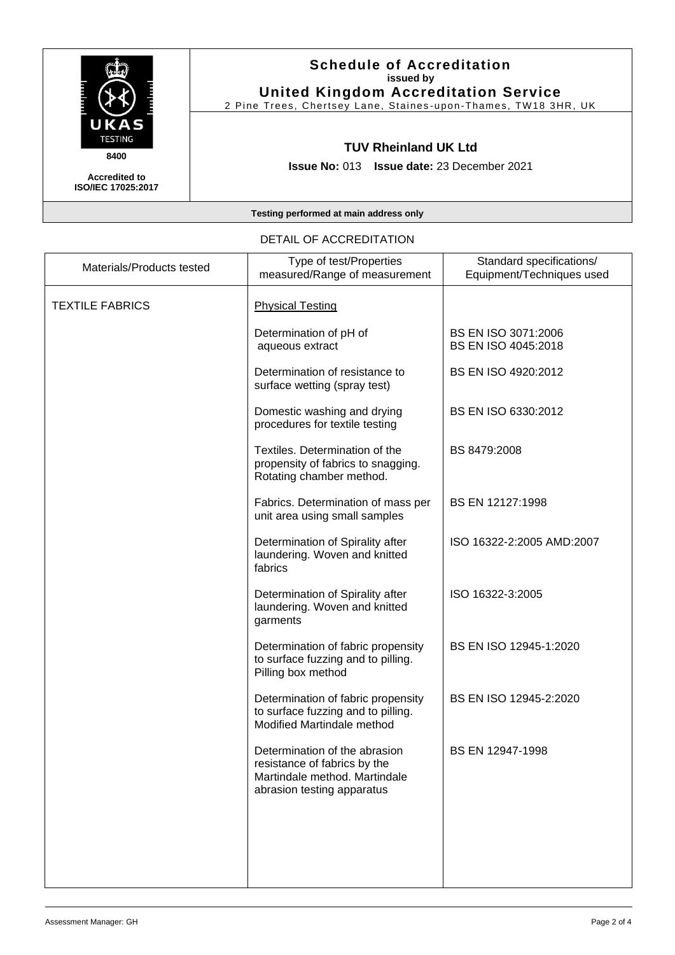

## **Schedule of Accreditation issued by United Kingdom Accreditation Service**

2 Pine Trees, Chertsey Lane, Staines -upon -Thames, TW18 3HR, UK

## **TUV Rheinland UK Ltd**

**Issue No:** 013 **Issue date:** 23 December 2021

**Accredited to ISO/IEC 17025:2017**

#### **Testing performed at main address only**

## Materials/Products tested Type of test/Properties measured/Range of measurement Standard specifications/ Equipment/Techniques used TEXTILE FABRICS | Physical Testing Determination of pH of aqueous extract BS EN ISO 3071:2006 BS EN ISO 4045:2018 Determination of resistance to surface wetting (spray test) BS EN ISO 4920:2012 Domestic washing and drying procedures for textile testing BS EN ISO 6330:2012 Textiles. Determination of the propensity of fabrics to snagging. Rotating chamber method. BS 8479:2008 Fabrics. Determination of mass per unit area using small samples BS EN 12127:1998 Determination of Spirality after laundering. Woven and knitted fabrics ISO 16322-2:2005 AMD:2007 Determination of Spirality after laundering. Woven and knitted garments ISO 16322-3:2005 Determination of fabric propensity to surface fuzzing and to pilling. Pilling box method BS EN ISO 12945-1:2020 Determination of fabric propensity to surface fuzzing and to pilling. Modified Martindale method BS EN ISO 12945-2:2020 Determination of the abrasion resistance of fabrics by the Martindale method. Martindale abrasion testing apparatus BS EN 12947-1998

#### DETAIL OF ACCREDITATION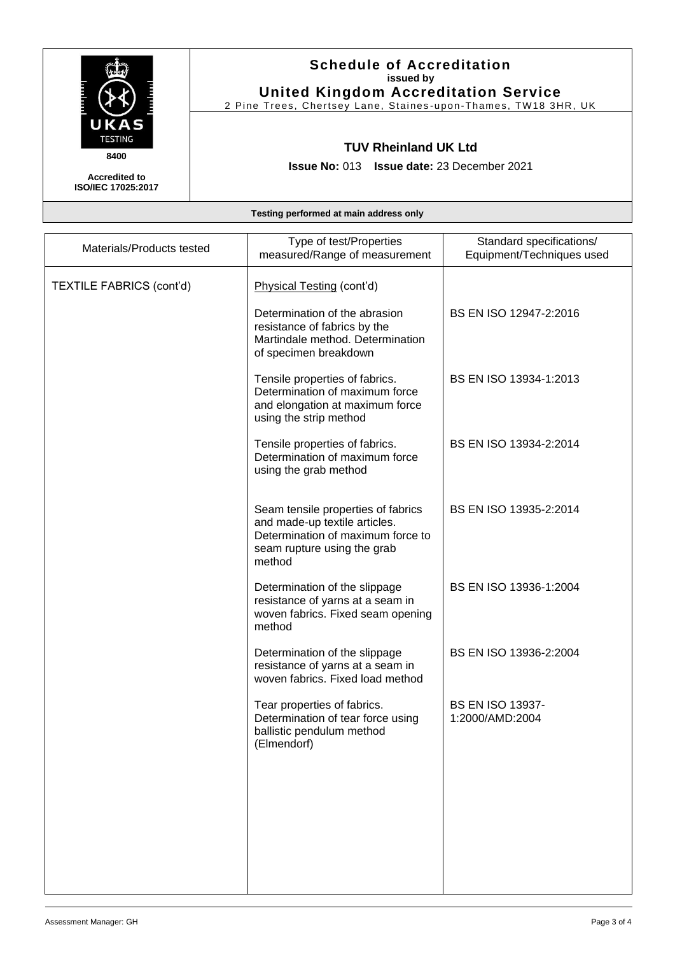

## **Schedule of Accreditation issued by United Kingdom Accreditation Service**

2 Pine Trees, Chertsey Lane, Staines -upon -Thames, TW18 3HR, UK

## **TUV Rheinland UK Ltd**

**Issue No:** 013 **Issue date:** 23 December 2021

**Accredited to ISO/IEC 17025:2017**

**Testing performed at main address only**

| Materials/Products tested       | Type of test/Properties<br>measured/Range of measurement                                                                                          | Standard specifications/<br>Equipment/Techniques used |
|---------------------------------|---------------------------------------------------------------------------------------------------------------------------------------------------|-------------------------------------------------------|
| <b>TEXTILE FABRICS (cont'd)</b> | Physical Testing (cont'd)                                                                                                                         |                                                       |
|                                 | Determination of the abrasion<br>resistance of fabrics by the<br>Martindale method. Determination<br>of specimen breakdown                        | BS EN ISO 12947-2:2016                                |
|                                 | Tensile properties of fabrics.<br>Determination of maximum force<br>and elongation at maximum force<br>using the strip method                     | BS EN ISO 13934-1:2013                                |
|                                 | Tensile properties of fabrics.<br>Determination of maximum force<br>using the grab method                                                         | BS EN ISO 13934-2:2014                                |
|                                 | Seam tensile properties of fabrics<br>and made-up textile articles.<br>Determination of maximum force to<br>seam rupture using the grab<br>method | BS EN ISO 13935-2:2014                                |
|                                 | Determination of the slippage<br>resistance of yarns at a seam in<br>woven fabrics. Fixed seam opening<br>method                                  | BS EN ISO 13936-1:2004                                |
|                                 | Determination of the slippage<br>resistance of yarns at a seam in<br>woven fabrics. Fixed load method                                             | BS EN ISO 13936-2:2004                                |
|                                 | Tear properties of fabrics.<br>Determination of tear force using<br>ballistic pendulum method<br>(Elmendorf)                                      | <b>BS EN ISO 13937-</b><br>1:2000/AMD:2004            |
|                                 |                                                                                                                                                   |                                                       |
|                                 |                                                                                                                                                   |                                                       |
|                                 |                                                                                                                                                   |                                                       |